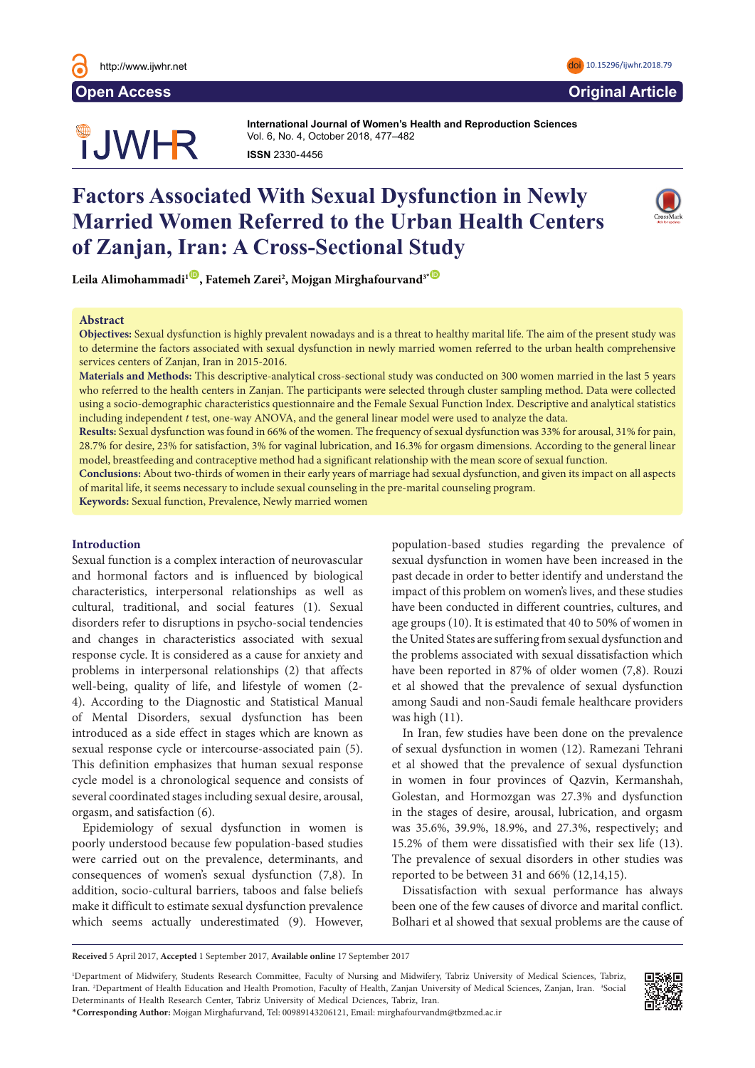

# **OUWHR**

**International Journal of Women's Health and Reproduction Sciences International Journal of Women's Health and Reproduction Sciences**  Vol. 6, No. 4, October 2018, 477–482 Vol. 3, No. 3, July 2015, 126–131 **ISSN** 2330- 4456 **ISSN** 2330- 4456

## **Factors Associated With Sexual Dysfunction in Newly Married Women Referred to the Urban Health Centers of Zanjan, Iran: A Cross-Sectional Study**



 $\text{Leila Alimohammadi}^{\text{ID}}$  $\text{Leila Alimohammadi}^{\text{ID}}$  $\text{Leila Alimohammadi}^{\text{ID}}$ , Fatemeh Zarei $^2$ , Mojgan Mirghafourvand $^{3*{\textstyle \textcircled{\tiny \textcircled{\tiny \textcirc}}}}$ We are 'extraordinary conditions conditions conditions conditions created by  $p$  and  $p$ 

#### **Abstract** being observed as sexual abuse and rape, all kinds of violence and subsequent gynecologic and obstetrics problems with physiological

Objectives: Sexual dysfunction is highly prevalent nowadays and is a threat to healthy marital life. The aim of the present study was to determine the factors associated with sexual dysfunction in newly married women referred to the urban health comprehensive services centers of Zanjan, Iran in 2015-2016. The department of access to health services and human rights bri

Materials and Methods: This descriptive-analytical cross-sectional study was conducted on 300 women married in the last 5 years who referred to the health centers in Zanjan. The participants were selected through cluster sampling method. Data were collected using a socio-demographic characteristics questionnaire and the Female Sexual Function Index. Descriptive and analytical statistics **Keywords:** Poverty, Reproductive health, War including independent *t* test, one-way ANOVA, and the general linear model were used to analyze the data.

**Results:** Sexual dysfunction was found in 66% of the women. The frequency of sexual dysfunction was 33% for arousal, 31% for pain, 28.7% for desire, 23% for satisfaction, 3% for vaginal lubrication, and 16.3% for orgasm dimensions. According to the general linear model, breastfeeding and contraceptive method had a significant relationship with the mean score of sexual function.

Conclusions: About two-thirds of women in their early years of marriage had sexual dysfunction, and given its impact on all aspects of marital life, it seems necessary to include sexual counseling in the pre-marital counseling program.

Keywords: Sexual function, Prevalence, Newly married women

#### **Introduction**

Sexual function is a complex interaction of neurovascular and hormonal factors and is influenced by biological characteristics, interpersonal relationships as well as cultural, traditional, and social features (1). Sexual disorders refer to disruptions in psycho-social tendencies and changes in characteristics associated with sexual response cycle. It is considered as a cause for anxiety and problems in interpersonal relationships (2) that affects well-being, quality of life, and lifestyle of women (2-4). According to the Diagnostic and Statistical Manual of Mental Disorders, sexual dysfunction has been introduced as a side effect in stages which are known as mateur as a state street in stages which are the wir as sexual response cycle or intercourse-associated pain (5). This definition emphasizes that human sexual response cycle model is a chronological sequence and consists of several coordinated stages including sexual desire, arousal, orgasm, and satisfaction (6). ward response cycle of intercourse-associated pam

Epidemiology of sexual dysfunction in women is poorly understood because few population-based studies were carried out on the prevalence, determinants, and consequences of women's sexual dysfunction (7,8). In addition, socio-cultural barriers, taboos and false beliefs make it difficult to estimate sexual dysfunction prevalence been one of the few causes of which seems actually underestimated (9). However,

population-based studies regarding the prevalence of sexual dysfunction in women have been increased in the past decade in order to better identify and understand the impact of this problem on women's lives, and these studies have been conducted in different countries, cultures, and and be even conducted in unreson countries, candres, and age groups (10). It is estimated that 40 to 50% of women in the United States are suffering from sexual dysfunction and the United States are suffering from sexual dysfunction and the problems associated with sexual dissatisfaction which have been reported in 87% of older women (7,8). Rouzi et al showed that the prevalence of sexual dysfunction among Saudi and non-Saudi female healthcare providers  $\frac{1}{\pi}$  was high (11). he United States a

In Iran, few studies have been done on the prevalence In Tan, for statute have seen done on the provalence of sexual dysfunction in women (12). Ramezani Tehrani et al showed that the prevalence of sexual dysfunction in women in four provinces of Qazvin, Kermanshah, Golestan, and Hormozgan was 27.3% and dysfunction in the stages of desire, arousal, lubrication, and orgasm was 35.6%, 39.9%, 18.9%, and 27.3%, respectively; and 15.2% of them were dissatisfied with their sex life (13). The prevalence of sexual disorders in other studies was reported to be between 31 and 66% (12,14,15).  $\sigma$  scalar dysituation in women  $(12)$ . Namezam

d false beliefs Dissatisfaction with sexual performance has always been one of the few causes of divorce and marital conflict. Bolhari et al showed that sexual problems are the cause of

**Received** 5 April 2017, **Accepted** 1 September 2017, **Available online** 17 September 2017

1 Department of Midwifery, Students Research Committee, Faculty of Nursing and Midwifery, Tabriz University of Medical Sciences, Tabriz, Iran. 2Department of Health Education and Health Promotion, Faculty of Health, Zanjan University of Medical Sciences, Zanjan, Iran. <sup>3</sup>Social Determinants of Health Research Center, Tabriz University of Medical Dciences, Tabriz, Iran. \***Corresponding Author:** Mojgan Mirghafurvand, Tel: 00989143206121, Email: mirghafourvandm@tbzmed.ac.ir

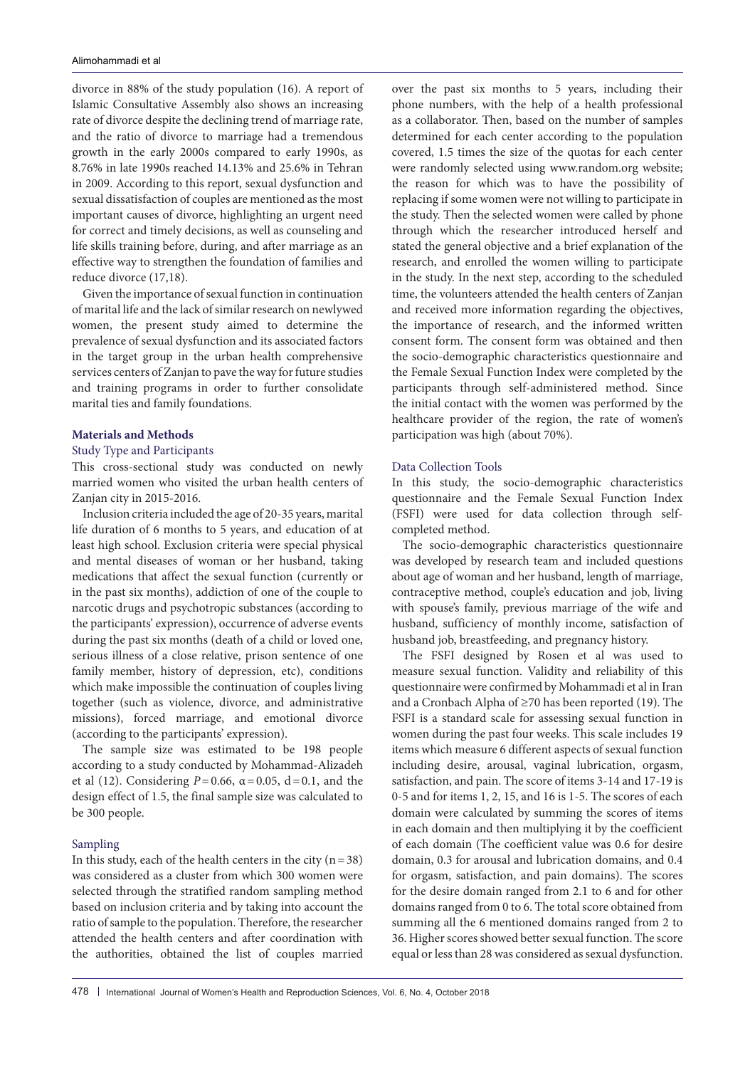divorce in 88% of the study population (16). A report of Islamic Consultative Assembly also shows an increasing rate of divorce despite the declining trend of marriage rate, and the ratio of divorce to marriage had a tremendous growth in the early 2000s compared to early 1990s, as 8.76% in late 1990s reached 14.13% and 25.6% in Tehran in 2009. According to this report, sexual dysfunction and sexual dissatisfaction of couples are mentioned as the most important causes of divorce, highlighting an urgent need for correct and timely decisions, as well as counseling and life skills training before, during, and after marriage as an effective way to strengthen the foundation of families and reduce divorce (17,18).

Given the importance of sexual function in continuation of marital life and the lack of similar research on newlywed women, the present study aimed to determine the prevalence of sexual dysfunction and its associated factors in the target group in the urban health comprehensive services centers of Zanjan to pave the way for future studies and training programs in order to further consolidate marital ties and family foundations.

#### **Materials and Methods**

#### Study Type and Participants

This cross-sectional study was conducted on newly married women who visited the urban health centers of Zanjan city in 2015-2016.

Inclusion criteria included the age of 20-35 years, marital life duration of 6 months to 5 years, and education of at least high school. Exclusion criteria were special physical and mental diseases of woman or her husband, taking medications that affect the sexual function (currently or in the past six months), addiction of one of the couple to narcotic drugs and psychotropic substances (according to the participants' expression), occurrence of adverse events during the past six months (death of a child or loved one, serious illness of a close relative, prison sentence of one family member, history of depression, etc), conditions which make impossible the continuation of couples living together (such as violence, divorce, and administrative missions), forced marriage, and emotional divorce (according to the participants' expression).

The sample size was estimated to be 198 people according to a study conducted by Mohammad-Alizadeh et al (12). Considering *P*=0.66, α=0.05, d=0.1, and the design effect of 1.5, the final sample size was calculated to be 300 people.

#### Sampling

In this study, each of the health centers in the city  $(n=38)$ was considered as a cluster from which 300 women were selected through the stratified random sampling method based on inclusion criteria and by taking into account the ratio of sample to the population. Therefore, the researcher attended the health centers and after coordination with the authorities, obtained the list of couples married

over the past six months to 5 years, including their phone numbers, with the help of a health professional as a collaborator. Then, based on the number of samples determined for each center according to the population covered, 1.5 times the size of the quotas for each center were randomly selected using [www.random.org](http://www.random.org) website; the reason for which was to have the possibility of replacing if some women were not willing to participate in the study. Then the selected women were called by phone through which the researcher introduced herself and stated the general objective and a brief explanation of the research, and enrolled the women willing to participate in the study. In the next step, according to the scheduled time, the volunteers attended the health centers of Zanjan and received more information regarding the objectives, the importance of research, and the informed written consent form. The consent form was obtained and then the socio-demographic characteristics questionnaire and the Female Sexual Function Index were completed by the participants through self-administered method. Since the initial contact with the women was performed by the healthcare provider of the region, the rate of women's participation was high (about 70%).

#### Data Collection Tools

In this study, the socio-demographic characteristics questionnaire and the Female Sexual Function Index (FSFI) were used for data collection through selfcompleted method.

The socio-demographic characteristics questionnaire was developed by research team and included questions about age of woman and her husband, length of marriage, contraceptive method, couple's education and job, living with spouse's family, previous marriage of the wife and husband, sufficiency of monthly income, satisfaction of husband job, breastfeeding, and pregnancy history.

The FSFI designed by Rosen et al was used to measure sexual function. Validity and reliability of this questionnaire were confirmed by Mohammadi et al in Iran and a Cronbach Alpha of ≥70 has been reported (19). The FSFI is a standard scale for assessing sexual function in women during the past four weeks. This scale includes 19 items which measure 6 different aspects of sexual function including desire, arousal, vaginal lubrication, orgasm, satisfaction, and pain. The score of items 3-14 and 17-19 is 0-5 and for items 1, 2, 15, and 16 is 1-5. The scores of each domain were calculated by summing the scores of items in each domain and then multiplying it by the coefficient of each domain (The coefficient value was 0.6 for desire domain, 0.3 for arousal and lubrication domains, and 0.4 for orgasm, satisfaction, and pain domains). The scores for the desire domain ranged from 2.1 to 6 and for other domains ranged from 0 to 6. The total score obtained from summing all the 6 mentioned domains ranged from 2 to 36. Higher scores showed better sexual function. The score equal or less than 28 was considered as sexual dysfunction.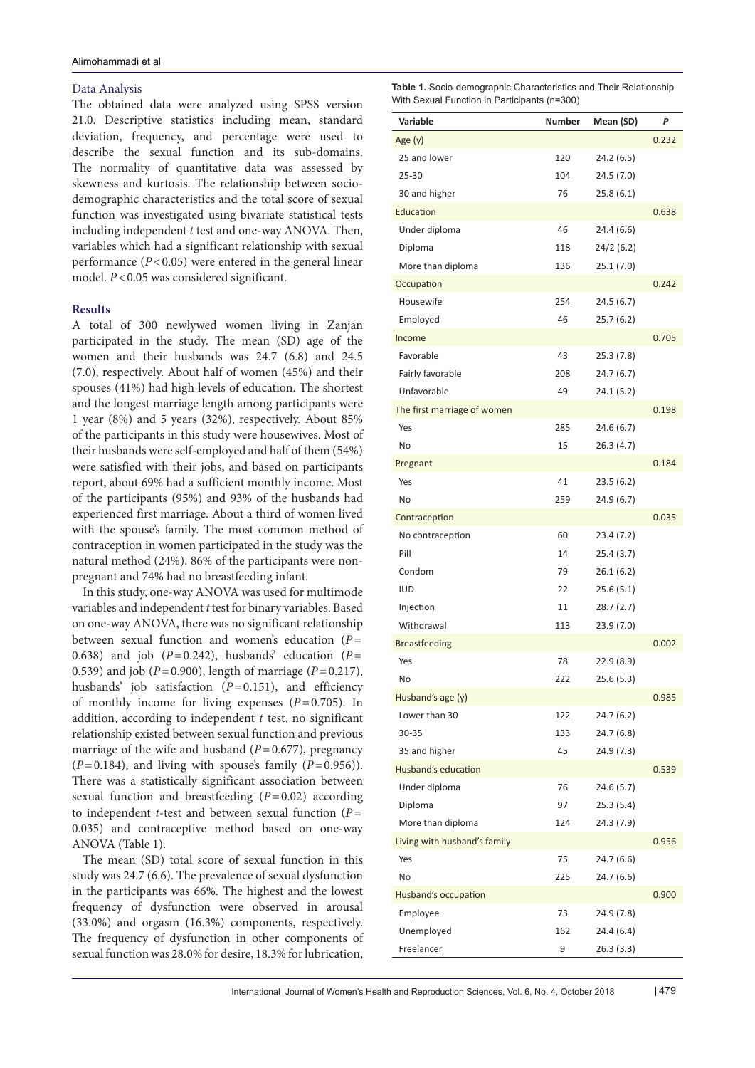#### Data Analysis

The obtained data were analyzed using SPSS version 21.0. Descriptive statistics including mean, standard deviation, frequency, and percentage were used to describe the sexual function and its sub-domains. The normality of quantitative data was assessed by skewness and kurtosis. The relationship between sociodemographic characteristics and the total score of sexual function was investigated using bivariate statistical tests including independent *t* test and one-way ANOVA. Then, variables which had a significant relationship with sexual performance (*P*<0.05) were entered in the general linear model.  $P < 0.05$  was considered significant.

#### **Results**

A total of 300 newlywed women living in Zanjan participated in the study. The mean (SD) age of the women and their husbands was 24.7 (6.8) and 24.5 (7.0), respectively. About half of women (45%) and their spouses (41%) had high levels of education. The shortest and the longest marriage length among participants were 1 year (8%) and 5 years (32%), respectively. About 85% of the participants in this study were housewives. Most of their husbands were self-employed and half of them (54%) were satisfied with their jobs, and based on participants report, about 69% had a sufficient monthly income. Most of the participants (95%) and 93% of the husbands had experienced first marriage. About a third of women lived with the spouse's family. The most common method of contraception in women participated in the study was the natural method (24%). 86% of the participants were nonpregnant and 74% had no breastfeeding infant.

In this study, one-way ANOVA was used for multimode variables and independent *t* test for binary variables. Based on one-way ANOVA, there was no significant relationship between sexual function and women's education (*P*= 0.638) and job  $(P=0.242)$ , husbands' education  $(P=$ 0.539) and job (*P*=0.900), length of marriage (*P*=0.217), husbands' job satisfaction  $(P=0.151)$ , and efficiency of monthly income for living expenses  $(P=0.705)$ . In addition, according to independent *t* test, no significant relationship existed between sexual function and previous marriage of the wife and husband  $(P=0.677)$ , pregnancy  $(P=0.184)$ , and living with spouse's family  $(P=0.956)$ ). There was a statistically significant association between sexual function and breastfeeding (*P*=0.02) according to independent *t*-test and between sexual function (*P*= 0.035) and contraceptive method based on one-way ANOVA (Table 1).

The mean (SD) total score of sexual function in this study was 24.7 (6.6). The prevalence of sexual dysfunction in the participants was 66%. The highest and the lowest frequency of dysfunction were observed in arousal (33.0%) and orgasm (16.3%) components, respectively. The frequency of dysfunction in other components of sexual function was 28.0% for desire, 18.3% for lubrication,

**Table 1.** Socio-demographic Characteristics and Their Relationship With Sexual Function in Participants (n=300)

| Variable                     | Number | Mean (SD)  | P     |
|------------------------------|--------|------------|-------|
| Age $(y)$                    |        |            | 0.232 |
| 25 and lower                 | 120    | 24.2 (6.5) |       |
| $25 - 30$                    | 104    | 24.5(7.0)  |       |
| 30 and higher                | 76     | 25.8(6.1)  |       |
| Education                    |        |            | 0.638 |
| Under diploma                | 46     | 24.4 (6.6) |       |
| Diploma                      | 118    | 24/2(6.2)  |       |
| More than diploma            | 136    | 25.1(7.0)  |       |
| Occupation                   |        |            | 0.242 |
| Housewife                    | 254    | 24.5 (6.7) |       |
| Employed                     | 46     | 25.7(6.2)  |       |
| Income                       |        |            | 0.705 |
| Favorable                    | 43     | 25.3(7.8)  |       |
| Fairly favorable             | 208    | 24.7(6.7)  |       |
| Unfavorable                  | 49     | 24.1 (5.2) |       |
| The first marriage of women  |        |            | 0.198 |
| Yes                          | 285    | 24.6(6.7)  |       |
| No                           | 15     | 26.3(4.7)  |       |
| Pregnant                     |        |            | 0.184 |
| Yes                          | 41     | 23.5(6.2)  |       |
| No                           | 259    | 24.9 (6.7) |       |
| Contraception                |        |            | 0.035 |
| No contraception             | 60     | 23.4 (7.2) |       |
| Pill                         | 14     | 25.4(3.7)  |       |
| Condom                       | 79     | 26.1 (6.2) |       |
| <b>IUD</b>                   | 22     | 25.6(5.1)  |       |
| Injection                    | 11     | 28.7(2.7)  |       |
| Withdrawal                   | 113    | 23.9 (7.0) |       |
| <b>Breastfeeding</b>         |        |            | 0.002 |
| Yes                          | 78     | 22.9 (8.9) |       |
| No                           | 222    | 25.6(5.3)  |       |
| Husband's age (y)            |        |            | 0.985 |
| Lower than 30                | 122    | 24.7(6.2)  |       |
| 30-35                        | 133    | 24.7(6.8)  |       |
| 35 and higher                | 45     | 24.9 (7.3) |       |
| Husband's education          |        |            | 0.539 |
| Under diploma                | 76     | 24.6(5.7)  |       |
| Diploma                      | 97     | 25.3(5.4)  |       |
| More than diploma            | 124    | 24.3 (7.9) |       |
| Living with husband's family |        |            | 0.956 |
| Yes                          | 75     | 24.7(6.6)  |       |
| No                           | 225    | 24.7 (6.6) |       |
| Husband's occupation         |        |            | 0.900 |
| Employee                     | 73     | 24.9 (7.8) |       |
| Unemployed                   | 162    | 24.4 (6.4) |       |
| Freelancer                   | 9      | 26.3 (3.3) |       |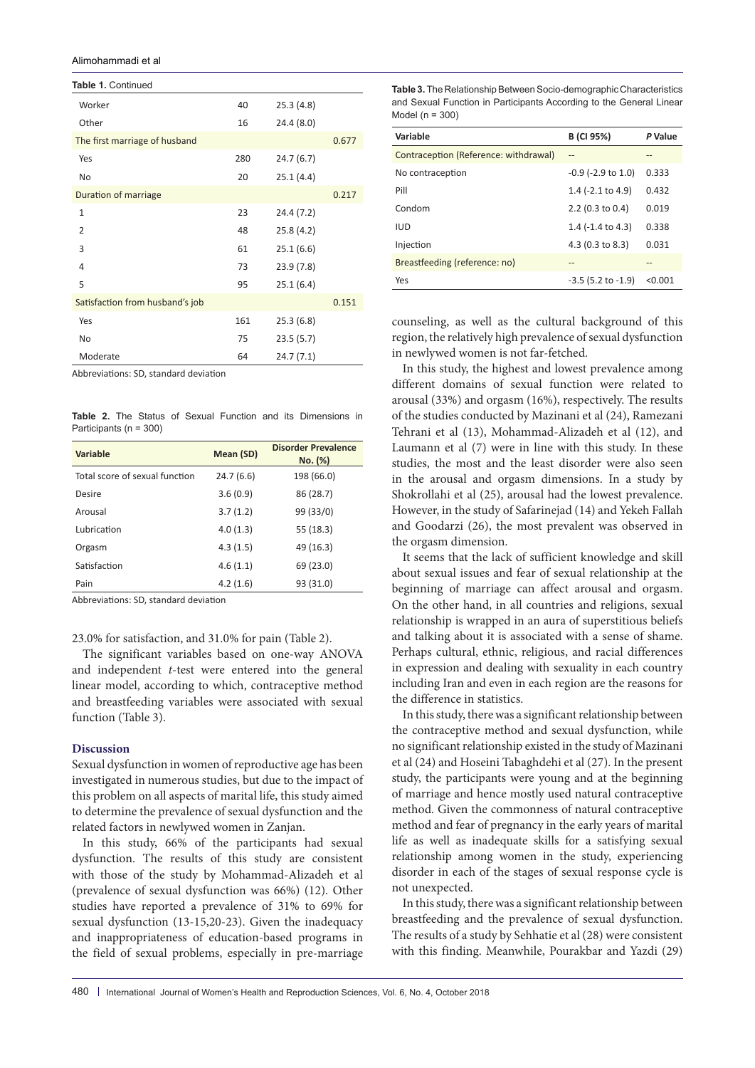Alimohammadi et al

Worker 40 25.3 (4.8) Other 16 24.4 (8.0) The first marriage of husband 0.677 Yes 280 24.7 (6.7) No 20 25.1 (4.4) Duration of marriage 0.217 1 23 24.4 (7.2) 2 48 25.8 (4.2) 3 61 25.1 (6.6) 4 73 23.9 (7.8) 5 95 25.1 (6.4) Satisfaction from husband's job 0.151 Yes 25.3 (6.8) No 75 23.5 (5.7) Moderate 64 24.7 (7.1) **Table 1.** Continued

Abbreviations: SD, standard deviation

**Table 2.** The Status of Sexual Function and its Dimensions in Participants (n = 300)

| Variable                       | Mean (SD) | <b>Disorder Prevalence</b><br>No. (%) |
|--------------------------------|-----------|---------------------------------------|
| Total score of sexual function | 24.7(6.6) | 198 (66.0)                            |
| Desire                         | 3.6(0.9)  | 86 (28.7)                             |
| Arousal                        | 3.7(1.2)  | 99 (33/0)                             |
| Lubrication                    | 4.0(1.3)  | 55 (18.3)                             |
| Orgasm                         | 4.3(1.5)  | 49 (16.3)                             |
| Satisfaction                   | 4.6(1.1)  | 69 (23.0)                             |
| Pain                           | 4.2(1.6)  | 93 (31.0)                             |

Abbreviations: SD, standard deviation

23.0% for satisfaction, and 31.0% for pain (Table 2).

The significant variables based on one-way ANOVA and independent *t*-test were entered into the general linear model, according to which, contraceptive method and breastfeeding variables were associated with sexual function (Table 3).

#### **Discussion**

Sexual dysfunction in women of reproductive age has been investigated in numerous studies, but due to the impact of this problem on all aspects of marital life, this study aimed to determine the prevalence of sexual dysfunction and the related factors in newlywed women in Zanjan.

In this study, 66% of the participants had sexual dysfunction. The results of this study are consistent with those of the study by Mohammad-Alizadeh et al (prevalence of sexual dysfunction was 66%) (12). Other studies have reported a prevalence of 31% to 69% for sexual dysfunction (13-15,20-23). Given the inadequacy and inappropriateness of education-based programs in the field of sexual problems, especially in pre-marriage

**Table 3.** The Relationship Between Socio-demographic Characteristics and Sexual Function in Participants According to the General Linear Model (n = 300)

| Variable                              | B (CI 95%)                   | P Value |
|---------------------------------------|------------------------------|---------|
| Contraception (Reference: withdrawal) | $\overline{a}$               |         |
| No contraception                      | $-0.9$ ( $-2.9$ to 1.0)      | 0.333   |
| Pill                                  | 1.4 $(-2.1$ to 4.9)          | 0.432   |
| Condom                                | 2.2 (0.3 to 0.4)             | 0.019   |
| <b>IUD</b>                            | 1.4 $(-1.4 \text{ to } 4.3)$ | 0.338   |
| Injection                             | 4.3 (0.3 to 8.3)             | 0.031   |
| Breastfeeding (reference: no)         | --                           |         |
| Yes                                   | $-3.5$ (5.2 to $-1.9$ )      | < 0.001 |

counseling, as well as the cultural background of this region, the relatively high prevalence of sexual dysfunction in newlywed women is not far-fetched.

In this study, the highest and lowest prevalence among different domains of sexual function were related to arousal (33%) and orgasm (16%), respectively. The results of the studies conducted by Mazinani et al (24), Ramezani Tehrani et al (13), Mohammad-Alizadeh et al (12), and Laumann et al (7) were in line with this study. In these studies, the most and the least disorder were also seen in the arousal and orgasm dimensions. In a study by Shokrollahi et al (25), arousal had the lowest prevalence. However, in the study of Safarinejad (14) and Yekeh Fallah and Goodarzi (26), the most prevalent was observed in the orgasm dimension.

It seems that the lack of sufficient knowledge and skill about sexual issues and fear of sexual relationship at the beginning of marriage can affect arousal and orgasm. On the other hand, in all countries and religions, sexual relationship is wrapped in an aura of superstitious beliefs and talking about it is associated with a sense of shame. Perhaps cultural, ethnic, religious, and racial differences in expression and dealing with sexuality in each country including Iran and even in each region are the reasons for the difference in statistics.

In this study, there was a significant relationship between the contraceptive method and sexual dysfunction, while no significant relationship existed in the study of Mazinani et al (24) and Hoseini Tabaghdehi et al (27). In the present study, the participants were young and at the beginning of marriage and hence mostly used natural contraceptive method. Given the commonness of natural contraceptive method and fear of pregnancy in the early years of marital life as well as inadequate skills for a satisfying sexual relationship among women in the study, experiencing disorder in each of the stages of sexual response cycle is not unexpected.

In this study, there was a significant relationship between breastfeeding and the prevalence of sexual dysfunction. The results of a study by Sehhatie et al (28) were consistent with this finding. Meanwhile, Pourakbar and Yazdi (29)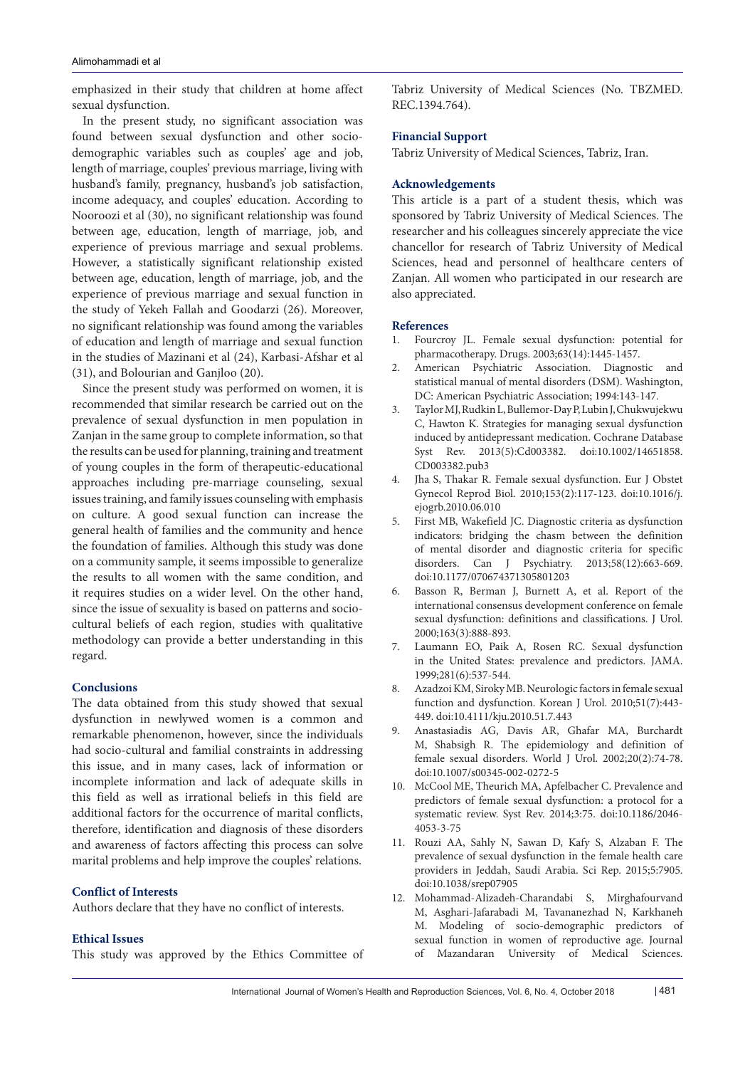emphasized in their study that children at home affect sexual dysfunction.

In the present study, no significant association was found between sexual dysfunction and other sociodemographic variables such as couples' age and job, length of marriage, couples' previous marriage, living with husband's family, pregnancy, husband's job satisfaction, income adequacy, and couples' education. According to Nooroozi et al (30), no significant relationship was found between age, education, length of marriage, job, and experience of previous marriage and sexual problems. However, a statistically significant relationship existed between age, education, length of marriage, job, and the experience of previous marriage and sexual function in the study of Yekeh Fallah and Goodarzi (26). Moreover, no significant relationship was found among the variables of education and length of marriage and sexual function in the studies of Mazinani et al (24), Karbasi-Afshar et al (31), and Bolourian and Ganjloo (20).

Since the present study was performed on women, it is recommended that similar research be carried out on the prevalence of sexual dysfunction in men population in Zanjan in the same group to complete information, so that the results can be used for planning, training and treatment of young couples in the form of therapeutic-educational approaches including pre-marriage counseling, sexual issues training, and family issues counseling with emphasis on culture. A good sexual function can increase the general health of families and the community and hence the foundation of families. Although this study was done on a community sample, it seems impossible to generalize the results to all women with the same condition, and it requires studies on a wider level. On the other hand, since the issue of sexuality is based on patterns and sociocultural beliefs of each region, studies with qualitative methodology can provide a better understanding in this regard.

### **Conclusions**

The data obtained from this study showed that sexual dysfunction in newlywed women is a common and remarkable phenomenon, however, since the individuals had socio-cultural and familial constraints in addressing this issue, and in many cases, lack of information or incomplete information and lack of adequate skills in this field as well as irrational beliefs in this field are additional factors for the occurrence of marital conflicts, therefore, identification and diagnosis of these disorders and awareness of factors affecting this process can solve marital problems and help improve the couples' relations.

#### **Conflict of Interests**

Authors declare that they have no conflict of interests.

#### **Ethical Issues**

This study was approved by the Ethics Committee of

Tabriz University of Medical Sciences (No. TBZMED. REC.1394.764).

#### **Financial Support**

Tabriz University of Medical Sciences, Tabriz, Iran.

#### **Acknowledgements**

This article is a part of a student thesis, which was sponsored by Tabriz University of Medical Sciences. The researcher and his colleagues sincerely appreciate the vice chancellor for research of Tabriz University of Medical Sciences, head and personnel of healthcare centers of Zanjan. All women who participated in our research are also appreciated.

#### **References**

- 1. Fourcroy JL. Female sexual dysfunction: potential for pharmacotherapy. Drugs. 2003;63(14):1445-1457.
- 2. American Psychiatric Association. Diagnostic and statistical manual of mental disorders (DSM). Washington, DC: American Psychiatric Association; 1994:143-147.
- 3. Taylor MJ, Rudkin L, Bullemor-Day P, Lubin J, Chukwujekwu C, Hawton K. Strategies for managing sexual dysfunction induced by antidepressant medication. Cochrane Database Syst Rev. 2013(5):Cd003382. doi:10.1002/14651858. CD003382.pub3
- 4. Jha S, Thakar R. Female sexual dysfunction. Eur J Obstet Gynecol Reprod Biol. 2010;153(2):117-123. doi:10.1016/j. ejogrb.2010.06.010
- 5. First MB, Wakefield JC. Diagnostic criteria as dysfunction indicators: bridging the chasm between the definition of mental disorder and diagnostic criteria for specific disorders. Can J Psychiatry. 2013;58(12):663-669. doi:10.1177/070674371305801203
- 6. Basson R, Berman J, Burnett A, et al. Report of the international consensus development conference on female sexual dysfunction: definitions and classifications. J Urol. 2000;163(3):888-893.
- 7. Laumann EO, Paik A, Rosen RC. Sexual dysfunction in the United States: prevalence and predictors. JAMA. 1999;281(6):537-544.
- 8. Azadzoi KM, Siroky MB. Neurologic factors in female sexual function and dysfunction. Korean J Urol. 2010;51(7):443- 449. doi:10.4111/kju.2010.51.7.443
- 9. Anastasiadis AG, Davis AR, Ghafar MA, Burchardt M, Shabsigh R. The epidemiology and definition of female sexual disorders. World J Urol. 2002;20(2):74-78. doi:10.1007/s00345-002-0272-5
- 10. McCool ME, Theurich MA, Apfelbacher C. Prevalence and predictors of female sexual dysfunction: a protocol for a systematic review. Syst Rev. 2014;3:75. doi:10.1186/2046- 4053-3-75
- 11. Rouzi AA, Sahly N, Sawan D, Kafy S, Alzaban F. The prevalence of sexual dysfunction in the female health care providers in Jeddah, Saudi Arabia. Sci Rep. 2015;5:7905. doi:10.1038/srep07905
- 12. Mohammad-Alizadeh-Charandabi S, Mirghafourvand M, Asghari-Jafarabadi M, Tavananezhad N, Karkhaneh M. Modeling of socio-demographic predictors of sexual function in women of reproductive age. Journal of Mazandaran University of Medical Sciences.